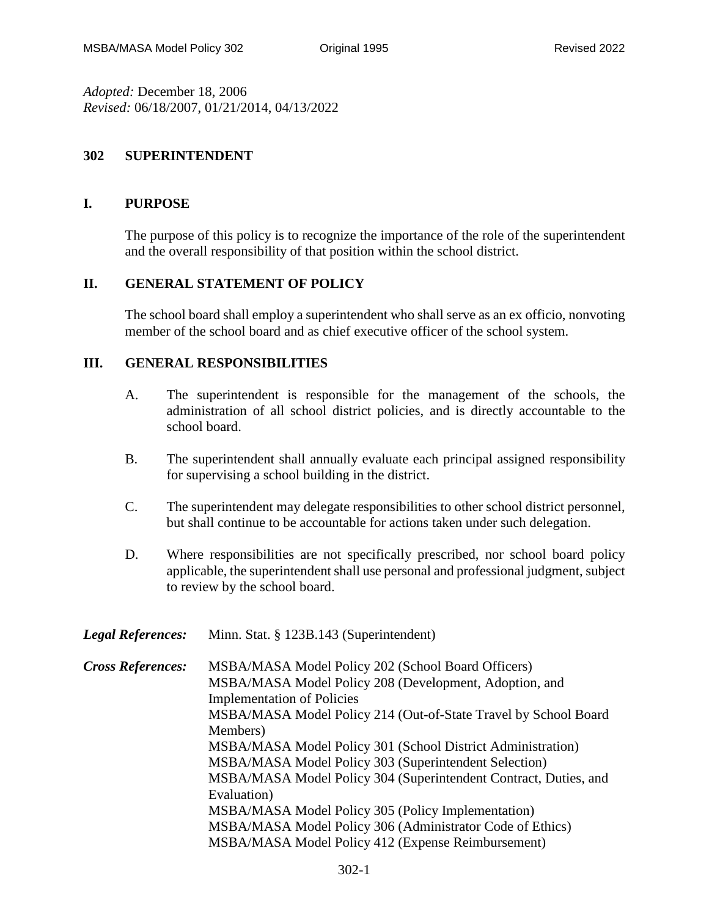*Adopted:* December 18, 2006 *Revised:* 06/18/2007, 01/21/2014, 04/13/2022

## **302 SUPERINTENDENT**

## **I. PURPOSE**

The purpose of this policy is to recognize the importance of the role of the superintendent and the overall responsibility of that position within the school district.

## **II. GENERAL STATEMENT OF POLICY**

The school board shall employ a superintendent who shall serve as an ex officio, nonvoting member of the school board and as chief executive officer of the school system.

## **III. GENERAL RESPONSIBILITIES**

- A. The superintendent is responsible for the management of the schools, the administration of all school district policies, and is directly accountable to the school board.
- B. The superintendent shall annually evaluate each principal assigned responsibility for supervising a school building in the district.
- C. The superintendent may delegate responsibilities to other school district personnel, but shall continue to be accountable for actions taken under such delegation.
- D. Where responsibilities are not specifically prescribed, nor school board policy applicable, the superintendent shall use personal and professional judgment, subject to review by the school board.
- *Legal References:* Minn. Stat. § 123B.143 (Superintendent)

| <b>Cross References:</b> | MSBA/MASA Model Policy 202 (School Board Officers)               |
|--------------------------|------------------------------------------------------------------|
|                          | MSBA/MASA Model Policy 208 (Development, Adoption, and           |
|                          | <b>Implementation of Policies</b>                                |
|                          | MSBA/MASA Model Policy 214 (Out-of-State Travel by School Board  |
|                          | Members)                                                         |
|                          | MSBA/MASA Model Policy 301 (School District Administration)      |
|                          | MSBA/MASA Model Policy 303 (Superintendent Selection)            |
|                          | MSBA/MASA Model Policy 304 (Superintendent Contract, Duties, and |
|                          | Evaluation)                                                      |
|                          | MSBA/MASA Model Policy 305 (Policy Implementation)               |
|                          | MSBA/MASA Model Policy 306 (Administrator Code of Ethics)        |
|                          | MSBA/MASA Model Policy 412 (Expense Reimbursement)               |